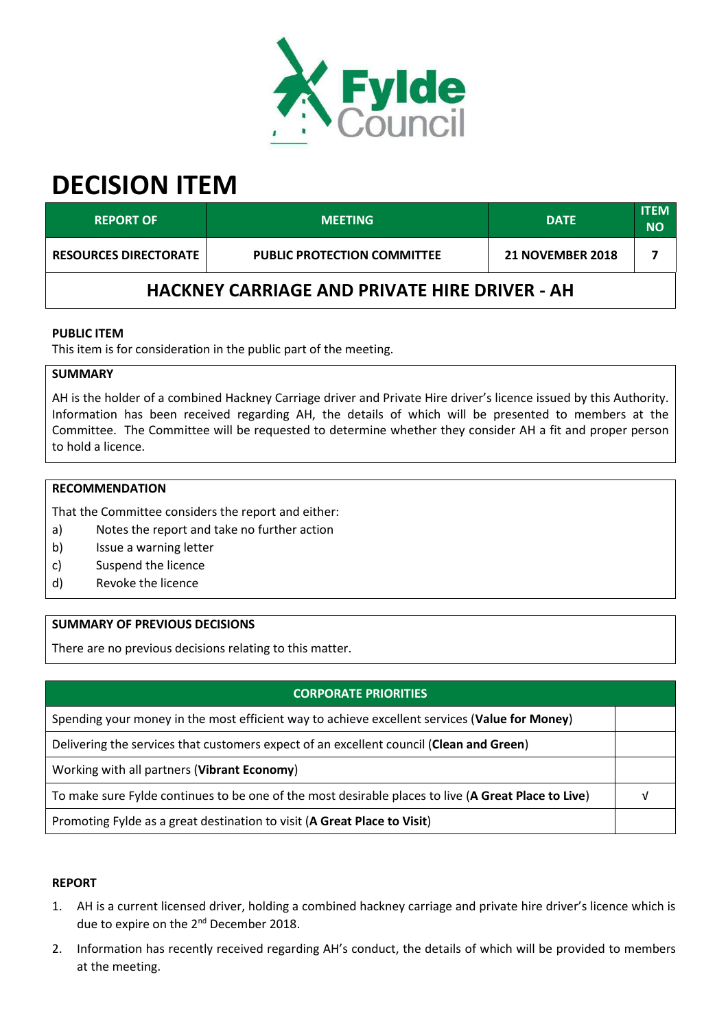

# **DECISION ITEM**

| <b>REPORT OF</b>                                     | <b>MEETING</b>                     | <b>DATE</b>             | <b>ITEM</b><br><b>NO</b> |  |  |  |
|------------------------------------------------------|------------------------------------|-------------------------|--------------------------|--|--|--|
| <b>RESOURCES DIRECTORATE</b>                         | <b>PUBLIC PROTECTION COMMITTEE</b> | <b>21 NOVEMBER 2018</b> |                          |  |  |  |
| <b>HACKNEY CARRIAGE AND PRIVATE HIRE DRIVER - AH</b> |                                    |                         |                          |  |  |  |

## **PUBLIC ITEM**

This item is for consideration in the public part of the meeting.

#### **SUMMARY**

AH is the holder of a combined Hackney Carriage driver and Private Hire driver's licence issued by this Authority. Information has been received regarding AH, the details of which will be presented to members at the Committee. The Committee will be requested to determine whether they consider AH a fit and proper person to hold a licence.

#### **RECOMMENDATION**

That the Committee considers the report and either:

- a) Notes the report and take no further action
- b) Issue a warning letter
- c) Suspend the licence
- d) Revoke the licence

### **SUMMARY OF PREVIOUS DECISIONS**

There are no previous decisions relating to this matter.

#### **CORPORATE PRIORITIES**

Spending your money in the most efficient way to achieve excellent services (**Value for Money**)

Delivering the services that customers expect of an excellent council (**Clean and Green**)

Working with all partners (**Vibrant Economy**)

To make sure Fylde continues to be one of the most desirable places to live (**A Great Place to Live**) √

Promoting Fylde as a great destination to visit (**A Great Place to Visit**)

#### **REPORT**

- 1. AH is a current licensed driver, holding a combined hackney carriage and private hire driver's licence which is due to expire on the 2<sup>nd</sup> December 2018.
- 2. Information has recently received regarding AH's conduct, the details of which will be provided to members at the meeting.